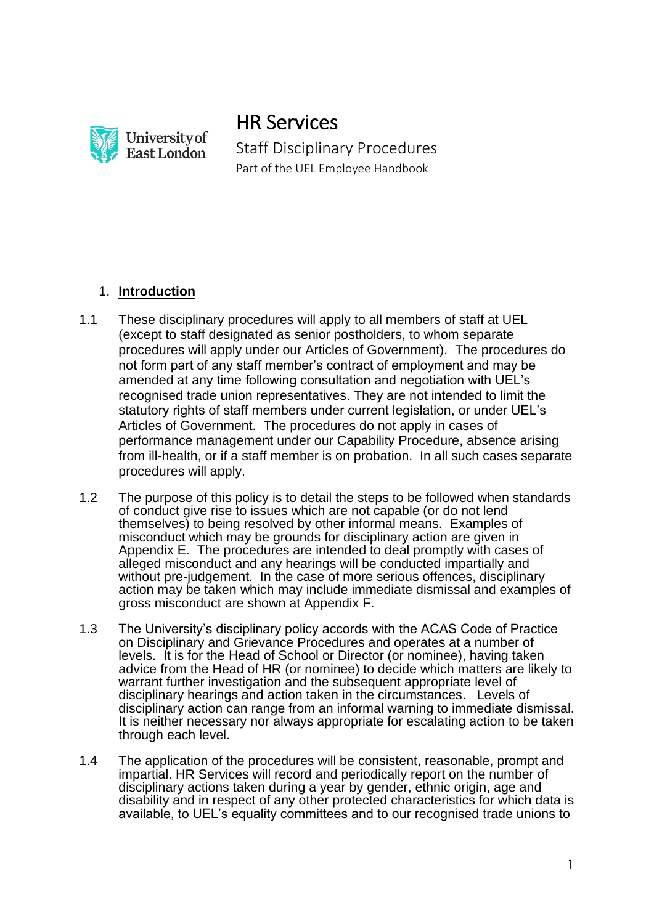

HR Services Staff Disciplinary Procedures Part of the UEL Employee Handbook

# 1. **Introduction**

- 1.1 These disciplinary procedures will apply to all members of staff at UEL (except to staff designated as senior postholders, to whom separate procedures will apply under our Articles of Government). The procedures do not form part of any staff member's contract of employment and may be amended at any time following consultation and negotiation with UEL's recognised trade union representatives. They are not intended to limit the statutory rights of staff members under current legislation, or under UEL's Articles of Government. The procedures do not apply in cases of performance management under our Capability Procedure, absence arising from ill-health, or if a staff member is on probation. In all such cases separate procedures will apply.
- 1.2 The purpose of this policy is to detail the steps to be followed when standards of conduct give rise to issues which are not capable (or do not lend themselves) to being resolved by other informal means. Examples of misconduct which may be grounds for disciplinary action are given in Appendix E. The procedures are intended to deal promptly with cases of alleged misconduct and any hearings will be conducted impartially and without pre-judgement. In the case of more serious offences, disciplinary action may be taken which may include immediate dismissal and examples of gross misconduct are shown at Appendix F.
- 1.3 The University's disciplinary policy accords with the ACAS Code of Practice on Disciplinary and Grievance Procedures and operates at a number of levels. It is for the Head of School or Director (or nominee), having taken advice from the Head of HR (or nominee) to decide which matters are likely to warrant further investigation and the subsequent appropriate level of disciplinary hearings and action taken in the circumstances. Levels of disciplinary action can range from an informal warning to immediate dismissal. It is neither necessary nor always appropriate for escalating action to be taken through each level.
- 1.4 The application of the procedures will be consistent, reasonable, prompt and impartial. HR Services will record and periodically report on the number of disciplinary actions taken during a year by gender, ethnic origin, age and disability and in respect of any other protected characteristics for which data is available, to UEL's equality committees and to our recognised trade unions to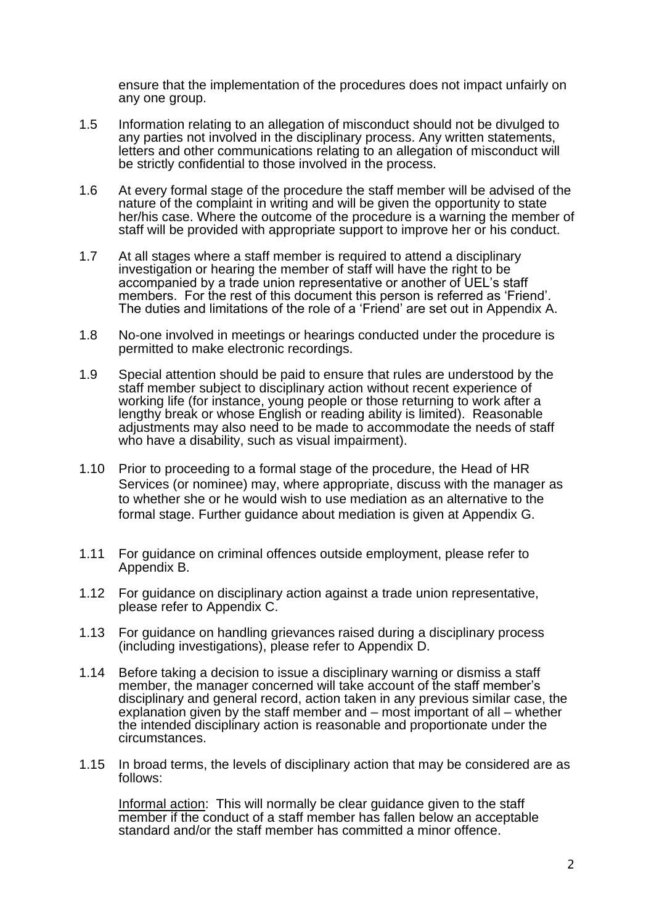ensure that the implementation of the procedures does not impact unfairly on any one group.

- 1.5 Information relating to an allegation of misconduct should not be divulged to any parties not involved in the disciplinary process. Any written statements, letters and other communications relating to an allegation of misconduct will be strictly confidential to those involved in the process.
- 1.6 At every formal stage of the procedure the staff member will be advised of the nature of the complaint in writing and will be given the opportunity to state her/his case. Where the outcome of the procedure is a warning the member of staff will be provided with appropriate support to improve her or his conduct.
- 1.7 At all stages where a staff member is required to attend a disciplinary investigation or hearing the member of staff will have the right to be accompanied by a trade union representative or another of UEL's staff members. For the rest of this document this person is referred as 'Friend'. The duties and limitations of the role of a 'Friend' are set out in Appendix A.
- 1.8 No-one involved in meetings or hearings conducted under the procedure is permitted to make electronic recordings.
- 1.9 Special attention should be paid to ensure that rules are understood by the staff member subject to disciplinary action without recent experience of working life (for instance, young people or those returning to work after a lengthy break or whose English or reading ability is limited). Reasonable adjustments may also need to be made to accommodate the needs of staff who have a disability, such as visual impairment).
- 1.10 Prior to proceeding to a formal stage of the procedure, the Head of HR Services (or nominee) may, where appropriate, discuss with the manager as to whether she or he would wish to use mediation as an alternative to the formal stage. Further guidance about mediation is given at Appendix G.
- 1.11 For guidance on criminal offences outside employment, please refer to Appendix B.
- 1.12 For guidance on disciplinary action against a trade union representative, please refer to Appendix C.
- 1.13 For guidance on handling grievances raised during a disciplinary process (including investigations), please refer to Appendix D.
- 1.14 Before taking a decision to issue a disciplinary warning or dismiss a staff member, the manager concerned will take account of the staff member's disciplinary and general record, action taken in any previous similar case, the explanation given by the staff member and – most important of all – whether the intended disciplinary action is reasonable and proportionate under the circumstances.
- 1.15 In broad terms, the levels of disciplinary action that may be considered are as follows:

Informal action: This will normally be clear guidance given to the staff member if the conduct of a staff member has fallen below an acceptable standard and/or the staff member has committed a minor offence.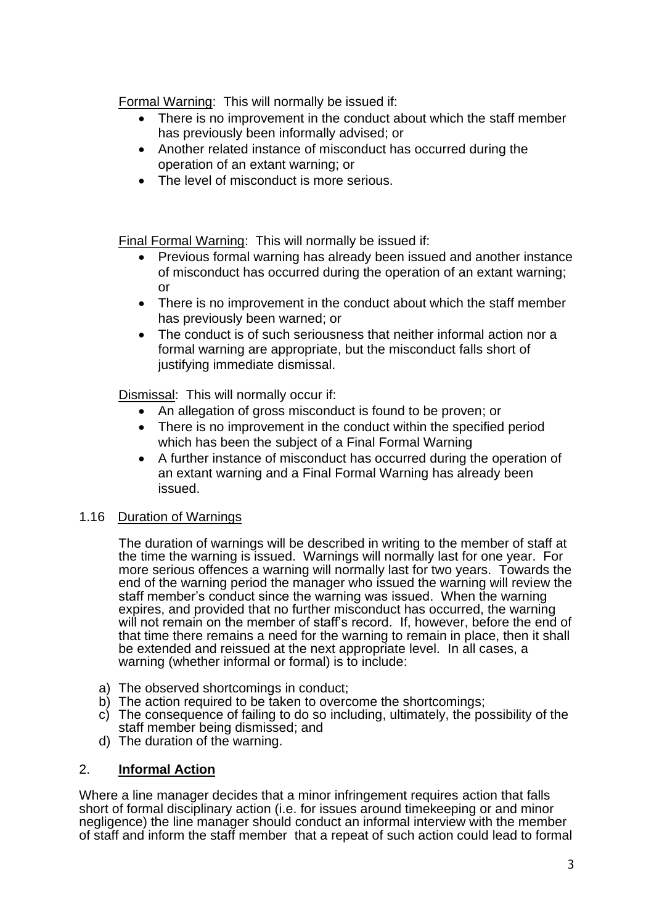Formal Warning: This will normally be issued if:

- There is no improvement in the conduct about which the staff member has previously been informally advised; or
- Another related instance of misconduct has occurred during the operation of an extant warning; or
- The level of misconduct is more serious.

Final Formal Warning: This will normally be issued if:

- Previous formal warning has already been issued and another instance of misconduct has occurred during the operation of an extant warning; or
- There is no improvement in the conduct about which the staff member has previously been warned; or
- The conduct is of such seriousness that neither informal action nor a formal warning are appropriate, but the misconduct falls short of justifying immediate dismissal.

Dismissal: This will normally occur if:

- An allegation of gross misconduct is found to be proven; or
- There is no improvement in the conduct within the specified period which has been the subject of a Final Formal Warning
- A further instance of misconduct has occurred during the operation of an extant warning and a Final Formal Warning has already been issued.

# 1.16 Duration of Warnings

The duration of warnings will be described in writing to the member of staff at the time the warning is issued. Warnings will normally last for one year. For more serious offences a warning will normally last for two years. Towards the end of the warning period the manager who issued the warning will review the staff member's conduct since the warning was issued. When the warning expires, and provided that no further misconduct has occurred, the warning will not remain on the member of staff's record. If, however, before the end of that time there remains a need for the warning to remain in place, then it shall be extended and reissued at the next appropriate level. In all cases, a warning (whether informal or formal) is to include:

- a) The observed shortcomings in conduct;
- b) The action required to be taken to overcome the shortcomings;
- c) The consequence of failing to do so including, ultimately, the possibility of the staff member being dismissed; and
- d) The duration of the warning.

### 2. **Informal Action**

Where a line manager decides that a minor infringement requires action that falls short of formal disciplinary action (i.e. for issues around timekeeping or and minor negligence) the line manager should conduct an informal interview with the member of staff and inform the staff member that a repeat of such action could lead to formal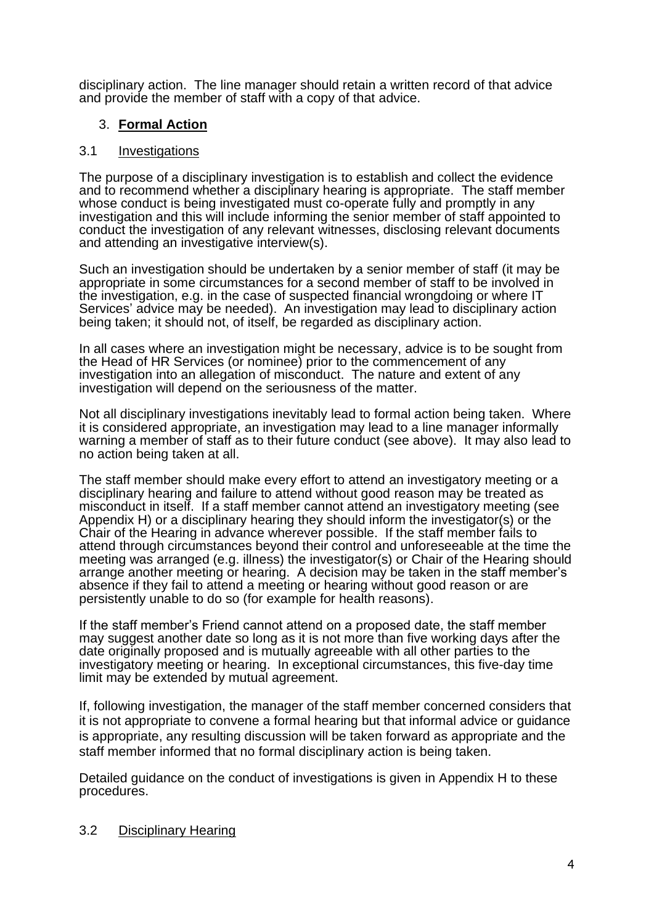disciplinary action. The line manager should retain a written record of that advice and provide the member of staff with a copy of that advice.

## 3. **Formal Action**

### 3.1 Investigations

The purpose of a disciplinary investigation is to establish and collect the evidence and to recommend whether a disciplinary hearing is appropriate. The staff member whose conduct is being investigated must co-operate fully and promptly in any investigation and this will include informing the senior member of staff appointed to conduct the investigation of any relevant witnesses, disclosing relevant documents and attending an investigative interview(s).

Such an investigation should be undertaken by a senior member of staff (it may be appropriate in some circumstances for a second member of staff to be involved in the investigation, e.g. in the case of suspected financial wrongdoing or where IT Services' advice may be needed). An investigation may lead to disciplinary action being taken; it should not, of itself, be regarded as disciplinary action.

In all cases where an investigation might be necessary, advice is to be sought from the Head of HR Services (or nominee) prior to the commencement of any investigation into an allegation of misconduct. The nature and extent of any investigation will depend on the seriousness of the matter.

Not all disciplinary investigations inevitably lead to formal action being taken. Where it is considered appropriate, an investigation may lead to a line manager informally warning a member of staff as to their future conduct (see above). It may also lead to no action being taken at all.

The staff member should make every effort to attend an investigatory meeting or a disciplinary hearing and failure to attend without good reason may be treated as misconduct in itself. If a staff member cannot attend an investigatory meeting (see Appendix H) or a disciplinary hearing they should inform the investigator(s) or the Chair of the Hearing in advance wherever possible. If the staff member fails to attend through circumstances beyond their control and unforeseeable at the time the meeting was arranged (e.g. illness) the investigator(s) or Chair of the Hearing should arrange another meeting or hearing. A decision may be taken in the staff member's absence if they fail to attend a meeting or hearing without good reason or are persistently unable to do so (for example for health reasons).

If the staff member's Friend cannot attend on a proposed date, the staff member may suggest another date so long as it is not more than five working days after the date originally proposed and is mutually agreeable with all other parties to the investigatory meeting or hearing. In exceptional circumstances, this five-day time limit may be extended by mutual agreement.

If, following investigation, the manager of the staff member concerned considers that it is not appropriate to convene a formal hearing but that informal advice or guidance is appropriate, any resulting discussion will be taken forward as appropriate and the staff member informed that no formal disciplinary action is being taken.

Detailed guidance on the conduct of investigations is given in Appendix H to these procedures.

### 3.2 Disciplinary Hearing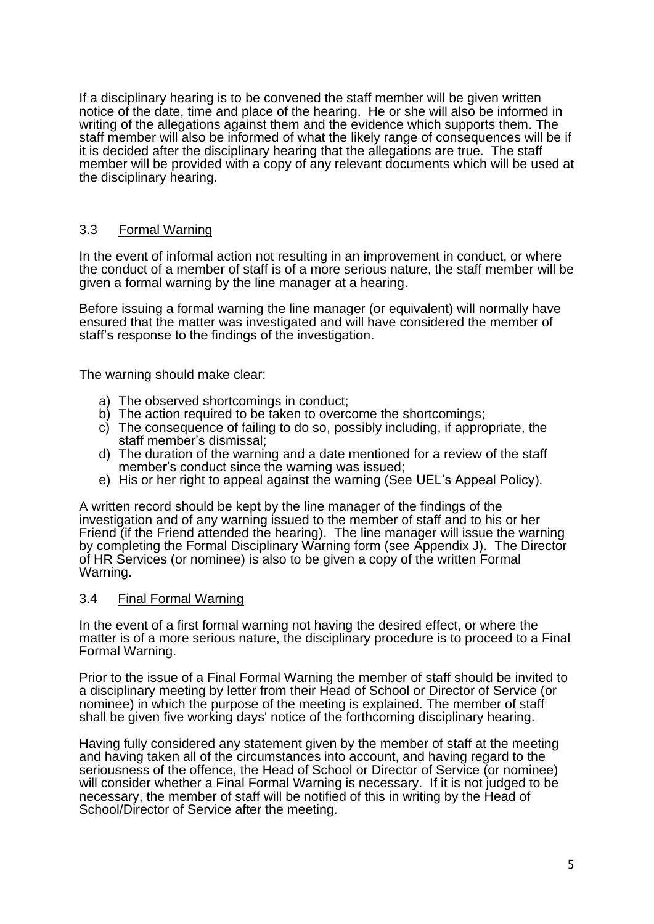If a disciplinary hearing is to be convened the staff member will be given written notice of the date, time and place of the hearing. He or she will also be informed in writing of the allegations against them and the evidence which supports them. The staff member will also be informed of what the likely range of consequences will be if it is decided after the disciplinary hearing that the allegations are true. The staff member will be provided with a copy of any relevant documents which will be used at the disciplinary hearing.

## 3.3 Formal Warning

In the event of informal action not resulting in an improvement in conduct, or where the conduct of a member of staff is of a more serious nature, the staff member will be given a formal warning by the line manager at a hearing.

Before issuing a formal warning the line manager (or equivalent) will normally have ensured that the matter was investigated and will have considered the member of staff's response to the findings of the investigation.

The warning should make clear:

- a) The observed shortcomings in conduct;
- b) The action required to be taken to overcome the shortcomings;
- c) The consequence of failing to do so, possibly including, if appropriate, the staff member's dismissal;
- d) The duration of the warning and a date mentioned for a review of the staff member's conduct since the warning was issued;
- e) His or her right to appeal against the warning (See UEL's Appeal Policy).

A written record should be kept by the line manager of the findings of the investigation and of any warning issued to the member of staff and to his or her Friend (if the Friend attended the hearing). The line manager will issue the warning by completing the Formal Disciplinary Warning form (see Appendix J). The Director of HR Services (or nominee) is also to be given a copy of the written Formal Warning.

### 3.4 Final Formal Warning

In the event of a first formal warning not having the desired effect, or where the matter is of a more serious nature, the disciplinary procedure is to proceed to a Final Formal Warning.

Prior to the issue of a Final Formal Warning the member of staff should be invited to a disciplinary meeting by letter from their Head of School or Director of Service (or nominee) in which the purpose of the meeting is explained. The member of staff shall be given five working days' notice of the forthcoming disciplinary hearing.

Having fully considered any statement given by the member of staff at the meeting and having taken all of the circumstances into account, and having regard to the seriousness of the offence, the Head of School or Director of Service (or nominee) will consider whether a Final Formal Warning is necessary. If it is not judged to be necessary, the member of staff will be notified of this in writing by the Head of School/Director of Service after the meeting.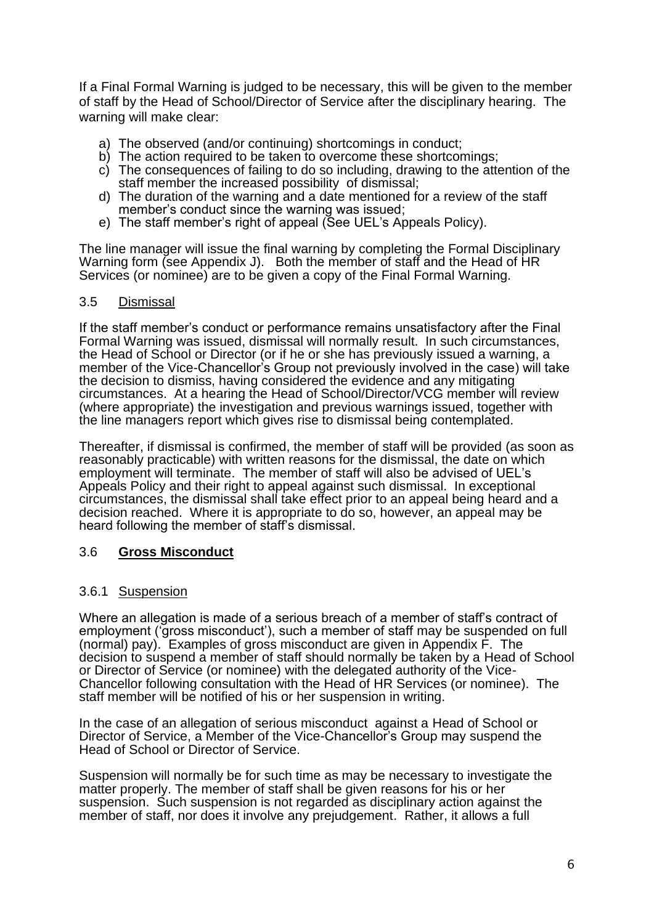If a Final Formal Warning is judged to be necessary, this will be given to the member of staff by the Head of School/Director of Service after the disciplinary hearing. The warning will make clear:

- a) The observed (and/or continuing) shortcomings in conduct;
- b) The action required to be taken to overcome these shortcomings;
- c) The consequences of failing to do so including, drawing to the attention of the staff member the increased possibility of dismissal;
- d) The duration of the warning and a date mentioned for a review of the staff member's conduct since the warning was issued;
- e) The staff member's right of appeal (See UEL's Appeals Policy).

The line manager will issue the final warning by completing the Formal Disciplinary Warning form (see Appendix J). Both the member of staff and the Head of HR Services (or nominee) are to be given a copy of the Final Formal Warning.

### 3.5 Dismissal

If the staff member's conduct or performance remains unsatisfactory after the Final Formal Warning was issued, dismissal will normally result. In such circumstances, the Head of School or Director (or if he or she has previously issued a warning, a member of the Vice-Chancellor's Group not previously involved in the case) will take the decision to dismiss, having considered the evidence and any mitigating circumstances. At a hearing the Head of School/Director/VCG member will review (where appropriate) the investigation and previous warnings issued, together with the line managers report which gives rise to dismissal being contemplated.

Thereafter, if dismissal is confirmed, the member of staff will be provided (as soon as reasonably practicable) with written reasons for the dismissal, the date on which employment will terminate. The member of staff will also be advised of UEL's Appeals Policy and their right to appeal against such dismissal. In exceptional circumstances, the dismissal shall take effect prior to an appeal being heard and a decision reached. Where it is appropriate to do so, however, an appeal may be heard following the member of staff's dismissal.

### 3.6 **Gross Misconduct**

### 3.6.1 Suspension

Where an allegation is made of a serious breach of a member of staff's contract of employment ('gross misconduct'), such a member of staff may be suspended on full (normal) pay). Examples of gross misconduct are given in Appendix F. The decision to suspend a member of staff should normally be taken by a Head of School or Director of Service (or nominee) with the delegated authority of the Vice-Chancellor following consultation with the Head of HR Services (or nominee). The staff member will be notified of his or her suspension in writing.

In the case of an allegation of serious misconduct against a Head of School or Director of Service, a Member of the Vice-Chancellor's Group may suspend the Head of School or Director of Service.

Suspension will normally be for such time as may be necessary to investigate the matter properly. The member of staff shall be given reasons for his or her suspension. Such suspension is not regarded as disciplinary action against the member of staff, nor does it involve any prejudgement. Rather, it allows a full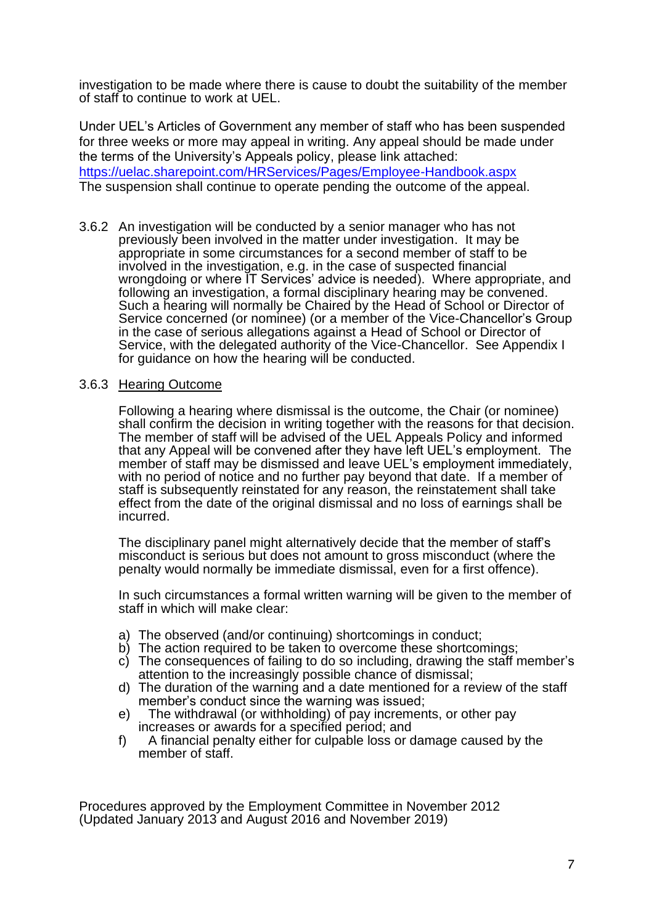investigation to be made where there is cause to doubt the suitability of the member of staff to continue to work at UEL.

Under UEL's Articles of Government any member of staff who has been suspended for three weeks or more may appeal in writing. Any appeal should be made under the terms of the University's Appeals policy, please link attached: <https://uelac.sharepoint.com/HRServices/Pages/Employee-Handbook.aspx> The suspension shall continue to operate pending the outcome of the appeal.

3.6.2 An investigation will be conducted by a senior manager who has not previously been involved in the matter under investigation. It may be appropriate in some circumstances for a second member of staff to be involved in the investigation, e.g. in the case of suspected financial wrongdoing or where IT Services' advice is needed). Where appropriate, and following an investigation, a formal disciplinary hearing may be convened. Such a hearing will normally be Chaired by the Head of School or Director of Service concerned (or nominee) (or a member of the Vice-Chancellor's Group in the case of serious allegations against a Head of School or Director of Service, with the delegated authority of the Vice-Chancellor. See Appendix I for guidance on how the hearing will be conducted.

### 3.6.3 Hearing Outcome

Following a hearing where dismissal is the outcome, the Chair (or nominee) shall confirm the decision in writing together with the reasons for that decision. The member of staff will be advised of the UEL Appeals Policy and informed that any Appeal will be convened after they have left UEL's employment. The member of staff may be dismissed and leave UEL's employment immediately, with no period of notice and no further pay beyond that date. If a member of staff is subsequently reinstated for any reason, the reinstatement shall take effect from the date of the original dismissal and no loss of earnings shall be incurred.

The disciplinary panel might alternatively decide that the member of staff's misconduct is serious but does not amount to gross misconduct (where the penalty would normally be immediate dismissal, even for a first offence).

In such circumstances a formal written warning will be given to the member of staff in which will make clear:

- a) The observed (and/or continuing) shortcomings in conduct;
- b) The action required to be taken to overcome these shortcomings;
- c) The consequences of failing to do so including, drawing the staff member's attention to the increasingly possible chance of dismissal;
- d) The duration of the warning and a date mentioned for a review of the staff member's conduct since the warning was issued;
- e) The withdrawal (or withholding) of pay increments, or other pay increases or awards for a specified period; and
- f) A financial penalty either for culpable loss or damage caused by the member of staff.

Procedures approved by the Employment Committee in November 2012 (Updated January 2013 and August 2016 and November 2019)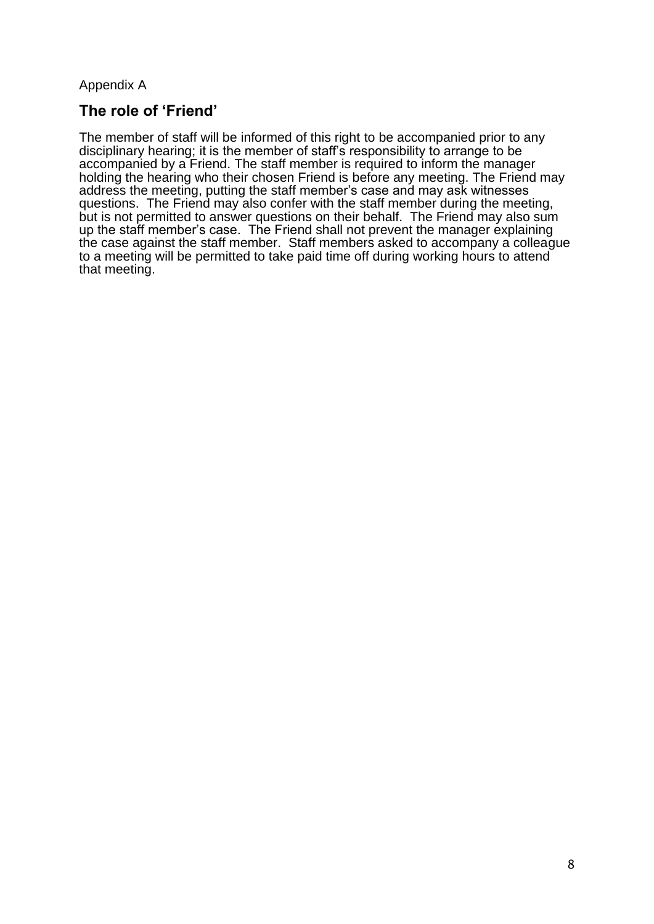Appendix A

# **The role of 'Friend'**

The member of staff will be informed of this right to be accompanied prior to any disciplinary hearing; it is the member of staff's responsibility to arrange to be accompanied by a Friend. The staff member is required to inform the manager holding the hearing who their chosen Friend is before any meeting. The Friend may address the meeting, putting the staff member's case and may ask witnesses questions. The Friend may also confer with the staff member during the meeting, but is not permitted to answer questions on their behalf. The Friend may also sum up the staff member's case. The Friend shall not prevent the manager explaining the case against the staff member. Staff members asked to accompany a colleague to a meeting will be permitted to take paid time off during working hours to attend that meeting.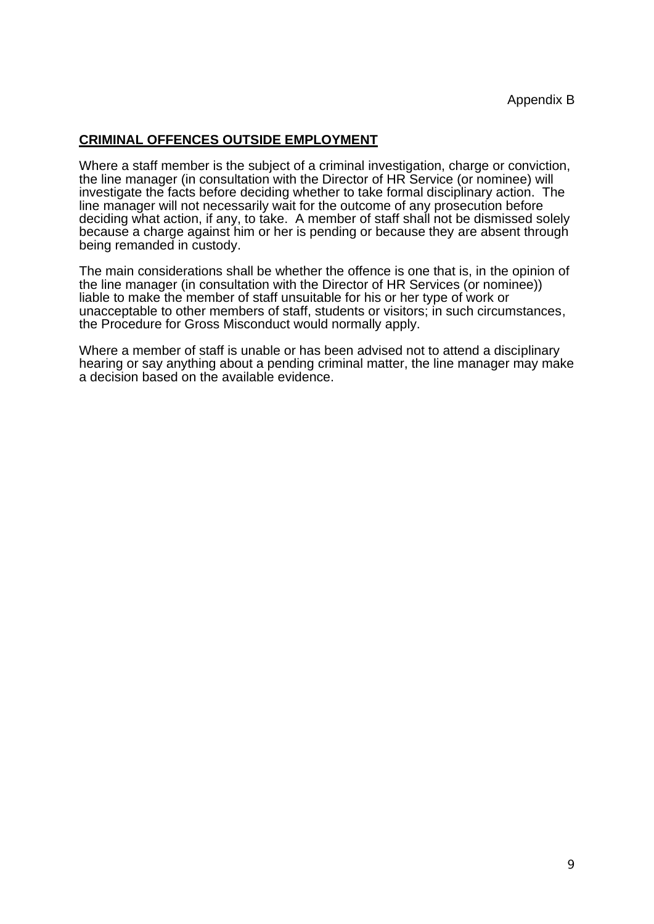## **CRIMINAL OFFENCES OUTSIDE EMPLOYMENT**

Where a staff member is the subject of a criminal investigation, charge or conviction, the line manager (in consultation with the Director of HR Service (or nominee) will investigate the facts before deciding whether to take formal disciplinary action. The line manager will not necessarily wait for the outcome of any prosecution before deciding what action, if any, to take. A member of staff shall not be dismissed solely because a charge against him or her is pending or because they are absent through being remanded in custody.

The main considerations shall be whether the offence is one that is, in the opinion of the line manager (in consultation with the Director of HR Services (or nominee)) liable to make the member of staff unsuitable for his or her type of work or unacceptable to other members of staff, students or visitors; in such circumstances, the Procedure for Gross Misconduct would normally apply.

Where a member of staff is unable or has been advised not to attend a disciplinary hearing or say anything about a pending criminal matter, the line manager may make a decision based on the available evidence.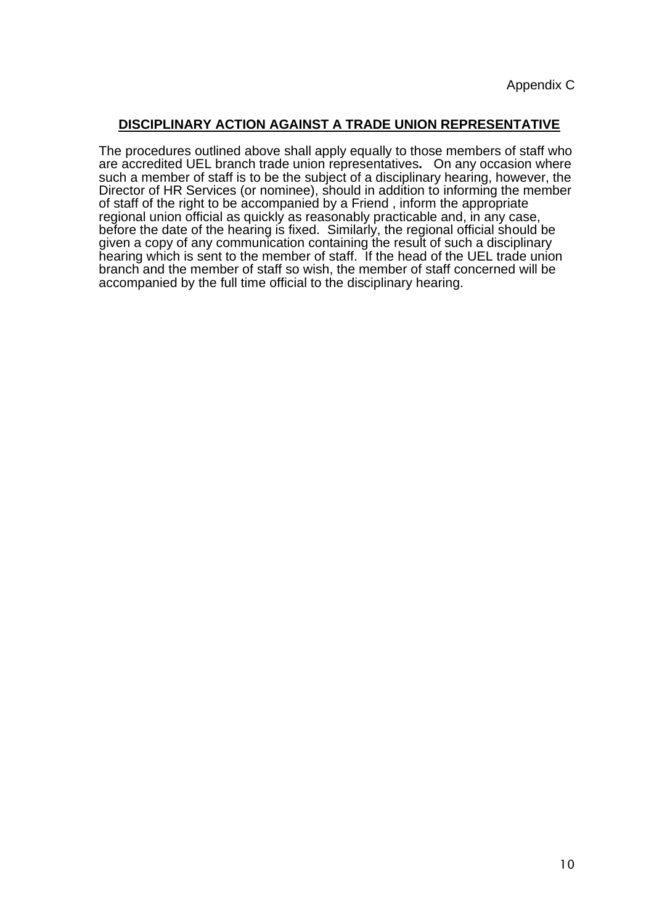## **DISCIPLINARY ACTION AGAINST A TRADE UNION REPRESENTATIVE**

The procedures outlined above shall apply equally to those members of staff who are accredited UEL branch trade union representatives*.* On any occasion where such a member of staff is to be the subject of a disciplinary hearing, however, the Director of HR Services (or nominee), should in addition to informing the member of staff of the right to be accompanied by a Friend , inform the appropriate regional union official as quickly as reasonably practicable and, in any case, before the date of the hearing is fixed. Similarly, the regional official should be given a copy of any communication containing the result of such a disciplinary hearing which is sent to the member of staff. If the head of the UEL trade union branch and the member of staff so wish, the member of staff concerned will be accompanied by the full time official to the disciplinary hearing.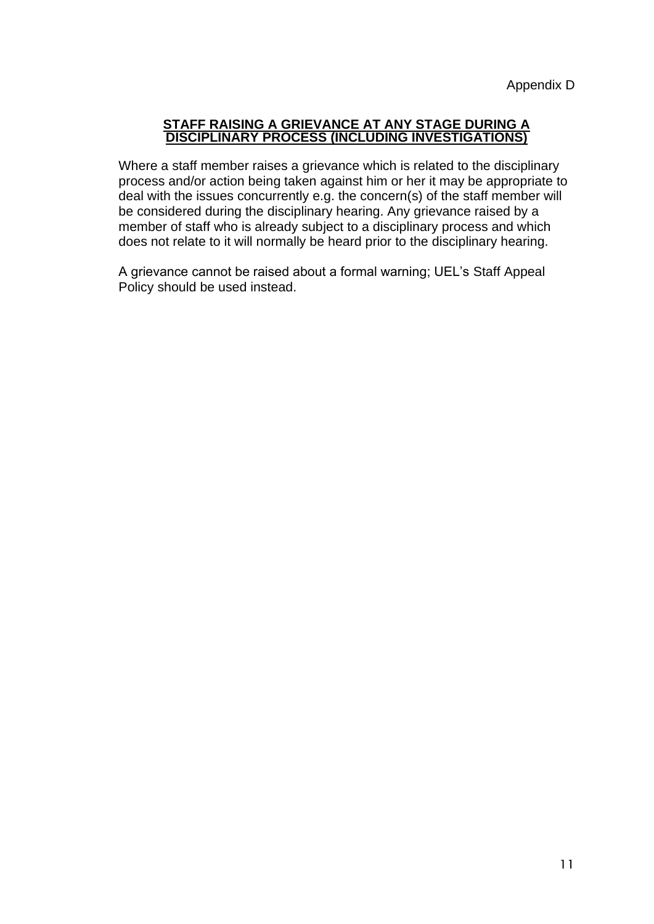### **STAFF RAISING A GRIEVANCE AT ANY STAGE DURING A DISCIPLINARY PROCESS (INCLUDING INVESTIGATIONS)**

Where a staff member raises a grievance which is related to the disciplinary process and/or action being taken against him or her it may be appropriate to deal with the issues concurrently e.g. the concern(s) of the staff member will be considered during the disciplinary hearing. Any grievance raised by a member of staff who is already subject to a disciplinary process and which does not relate to it will normally be heard prior to the disciplinary hearing.

A grievance cannot be raised about a formal warning; UEL's Staff Appeal Policy should be used instead.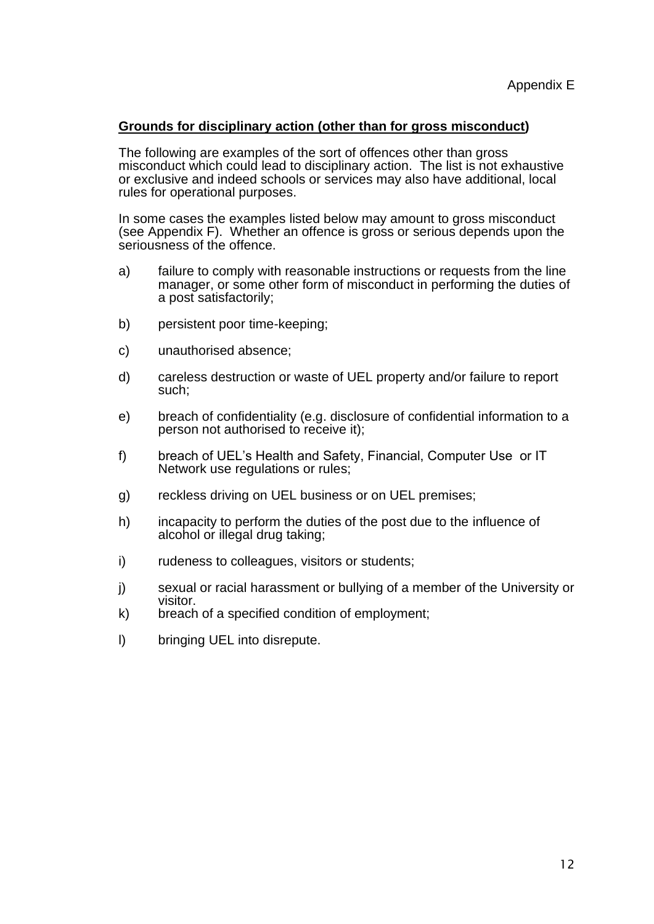### **Grounds for disciplinary action (other than for gross misconduct)**

The following are examples of the sort of offences other than gross misconduct which could lead to disciplinary action. The list is not exhaustive or exclusive and indeed schools or services may also have additional, local rules for operational purposes.

In some cases the examples listed below may amount to gross misconduct (see Appendix F). Whether an offence is gross or serious depends upon the seriousness of the offence.

- a) failure to comply with reasonable instructions or requests from the line manager, or some other form of misconduct in performing the duties of a post satisfactorily;
- b) persistent poor time-keeping:
- c) unauthorised absence;
- d) careless destruction or waste of UEL property and/or failure to report such;
- e) breach of confidentiality (e.g. disclosure of confidential information to a person not authorised to receive it);
- f) breach of UEL's Health and Safety, Financial, Computer Use or IT Network use regulations or rules;
- g) reckless driving on UEL business or on UEL premises;
- h) incapacity to perform the duties of the post due to the influence of alcohol or illegal drug taking;
- i) rudeness to colleagues, visitors or students;
- j) sexual or racial harassment or bullying of a member of the University or visitor.
- k) breach of a specified condition of employment;
- l) bringing UEL into disrepute.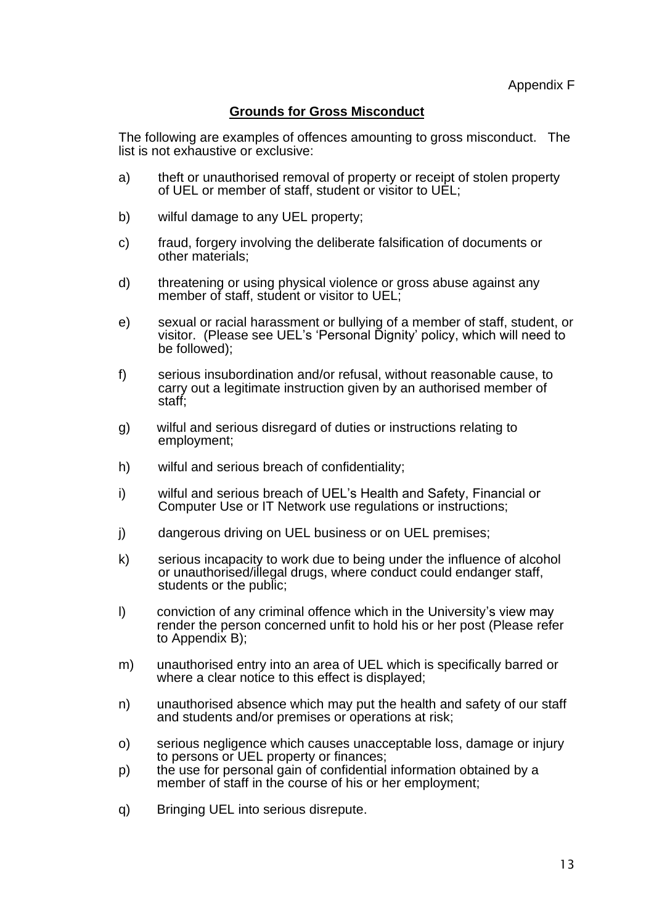## **Grounds for Gross Misconduct**

The following are examples of offences amounting to gross misconduct. The list is not exhaustive or exclusive:

- a) theft or unauthorised removal of property or receipt of stolen property of UEL or member of staff, student or visitor to UEL;
- b) wilful damage to any UEL property;
- c) fraud, forgery involving the deliberate falsification of documents or other materials;
- d) threatening or using physical violence or gross abuse against any member of staff, student or visitor to UEL;
- e) sexual or racial harassment or bullying of a member of staff, student, or visitor. (Please see UEL's 'Personal Dignity' policy, which will need to be followed);
- f) serious insubordination and/or refusal, without reasonable cause, to carry out a legitimate instruction given by an authorised member of staff;
- g) wilful and serious disregard of duties or instructions relating to employment;
- h) wilful and serious breach of confidentiality;
- i) wilful and serious breach of UEL's Health and Safety, Financial or Computer Use or IT Network use regulations or instructions;
- j) dangerous driving on UEL business or on UEL premises;
- k) serious incapacity to work due to being under the influence of alcohol or unauthorised/illegal drugs, where conduct could endanger staff, students or the public;
- l) conviction of any criminal offence which in the University's view may render the person concerned unfit to hold his or her post (Please refer to Appendix B);
- m) unauthorised entry into an area of UEL which is specifically barred or where a clear notice to this effect is displayed;
- n) unauthorised absence which may put the health and safety of our staff and students and/or premises or operations at risk;
- o) serious negligence which causes unacceptable loss, damage or injury to persons or UEL property or finances;
- p) the use for personal gain of confidential information obtained by a member of staff in the course of his or her employment;
- q) Bringing UEL into serious disrepute.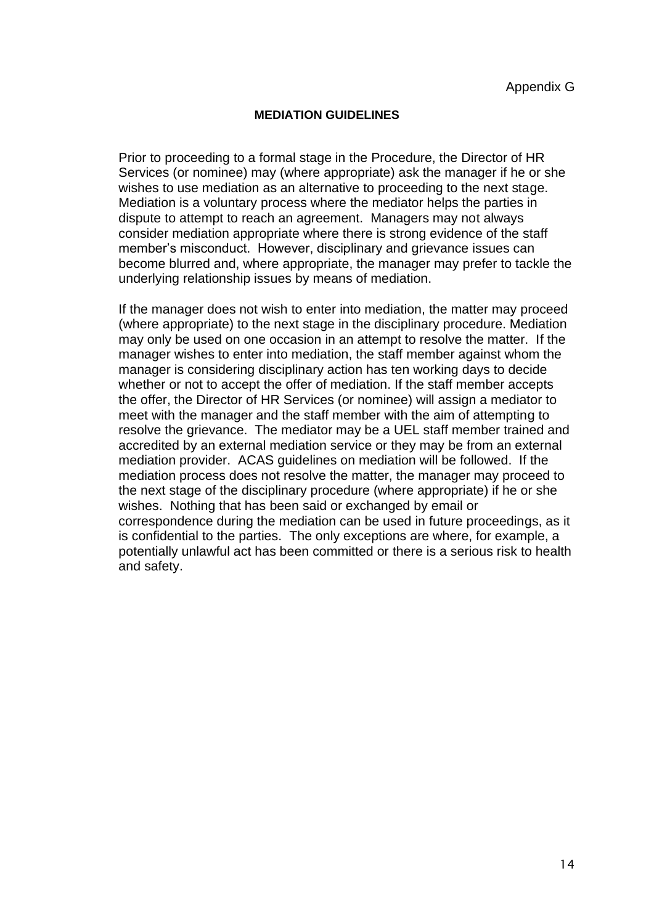### **MEDIATION GUIDELINES**

Prior to proceeding to a formal stage in the Procedure, the Director of HR Services (or nominee) may (where appropriate) ask the manager if he or she wishes to use mediation as an alternative to proceeding to the next stage. Mediation is a voluntary process where the mediator helps the parties in dispute to attempt to reach an agreement. Managers may not always consider mediation appropriate where there is strong evidence of the staff member's misconduct. However, disciplinary and grievance issues can become blurred and, where appropriate, the manager may prefer to tackle the underlying relationship issues by means of mediation.

If the manager does not wish to enter into mediation, the matter may proceed (where appropriate) to the next stage in the disciplinary procedure. Mediation may only be used on one occasion in an attempt to resolve the matter. If the manager wishes to enter into mediation, the staff member against whom the manager is considering disciplinary action has ten working days to decide whether or not to accept the offer of mediation. If the staff member accepts the offer, the Director of HR Services (or nominee) will assign a mediator to meet with the manager and the staff member with the aim of attempting to resolve the grievance. The mediator may be a UEL staff member trained and accredited by an external mediation service or they may be from an external mediation provider. ACAS guidelines on mediation will be followed. If the mediation process does not resolve the matter, the manager may proceed to the next stage of the disciplinary procedure (where appropriate) if he or she wishes. Nothing that has been said or exchanged by email or correspondence during the mediation can be used in future proceedings, as it is confidential to the parties. The only exceptions are where, for example, a potentially unlawful act has been committed or there is a serious risk to health and safety.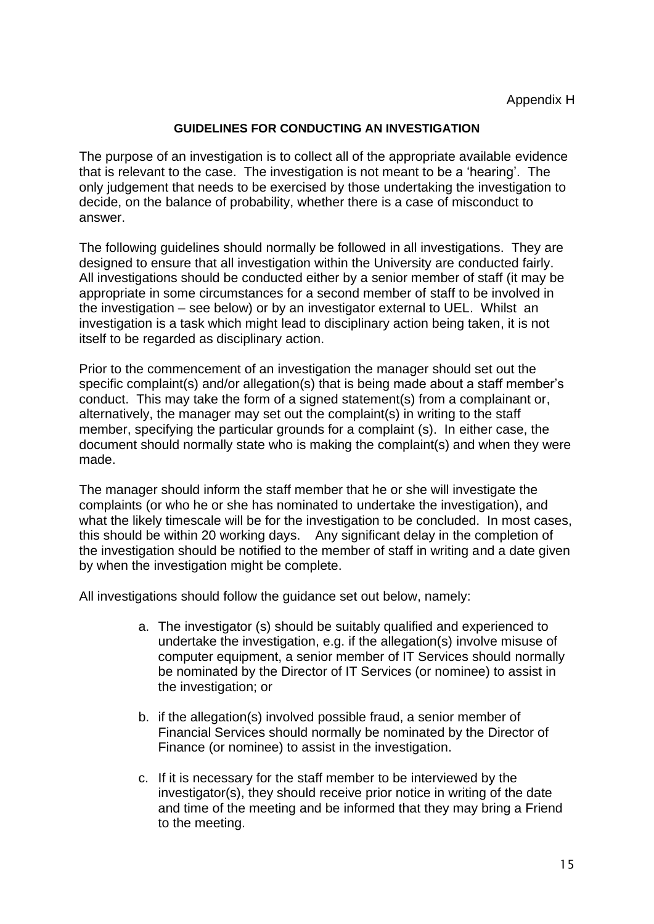### **GUIDELINES FOR CONDUCTING AN INVESTIGATION**

The purpose of an investigation is to collect all of the appropriate available evidence that is relevant to the case. The investigation is not meant to be a 'hearing'. The only judgement that needs to be exercised by those undertaking the investigation to decide, on the balance of probability, whether there is a case of misconduct to answer.

The following guidelines should normally be followed in all investigations. They are designed to ensure that all investigation within the University are conducted fairly. All investigations should be conducted either by a senior member of staff (it may be appropriate in some circumstances for a second member of staff to be involved in the investigation – see below) or by an investigator external to UEL. Whilst an investigation is a task which might lead to disciplinary action being taken, it is not itself to be regarded as disciplinary action.

Prior to the commencement of an investigation the manager should set out the specific complaint(s) and/or allegation(s) that is being made about a staff member's conduct. This may take the form of a signed statement(s) from a complainant or, alternatively, the manager may set out the complaint(s) in writing to the staff member, specifying the particular grounds for a complaint (s). In either case, the document should normally state who is making the complaint(s) and when they were made.

The manager should inform the staff member that he or she will investigate the complaints (or who he or she has nominated to undertake the investigation), and what the likely timescale will be for the investigation to be concluded. In most cases, this should be within 20 working days. Any significant delay in the completion of the investigation should be notified to the member of staff in writing and a date given by when the investigation might be complete.

All investigations should follow the guidance set out below, namely:

- a. The investigator (s) should be suitably qualified and experienced to undertake the investigation, e.g. if the allegation(s) involve misuse of computer equipment, a senior member of IT Services should normally be nominated by the Director of IT Services (or nominee) to assist in the investigation; or
- b. if the allegation(s) involved possible fraud, a senior member of Financial Services should normally be nominated by the Director of Finance (or nominee) to assist in the investigation.
- c. If it is necessary for the staff member to be interviewed by the investigator(s), they should receive prior notice in writing of the date and time of the meeting and be informed that they may bring a Friend to the meeting.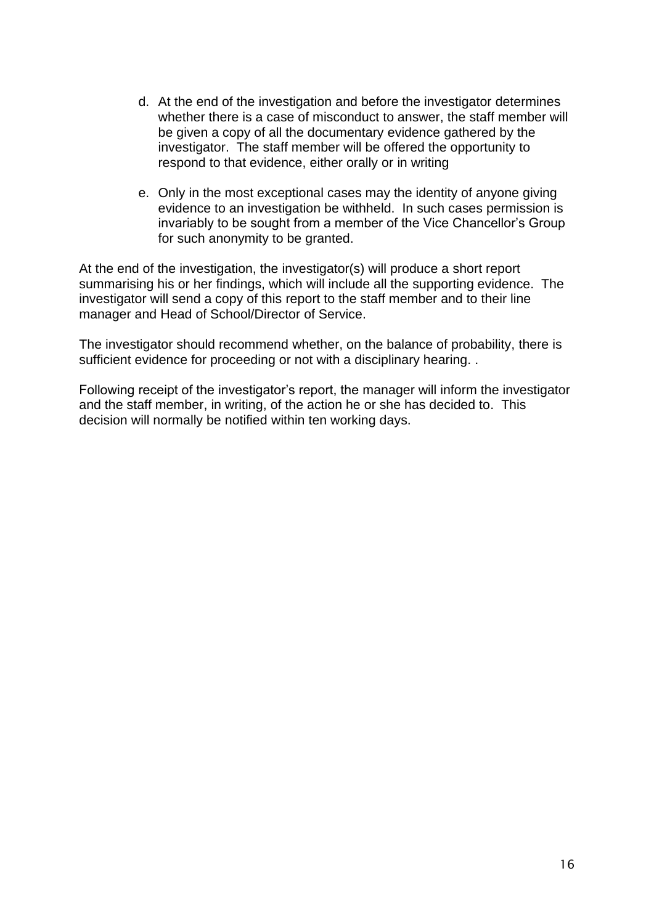- d. At the end of the investigation and before the investigator determines whether there is a case of misconduct to answer, the staff member will be given a copy of all the documentary evidence gathered by the investigator. The staff member will be offered the opportunity to respond to that evidence, either orally or in writing
- e. Only in the most exceptional cases may the identity of anyone giving evidence to an investigation be withheld. In such cases permission is invariably to be sought from a member of the Vice Chancellor's Group for such anonymity to be granted.

At the end of the investigation, the investigator(s) will produce a short report summarising his or her findings, which will include all the supporting evidence. The investigator will send a copy of this report to the staff member and to their line manager and Head of School/Director of Service.

The investigator should recommend whether, on the balance of probability, there is sufficient evidence for proceeding or not with a disciplinary hearing. .

Following receipt of the investigator's report, the manager will inform the investigator and the staff member, in writing, of the action he or she has decided to. This decision will normally be notified within ten working days.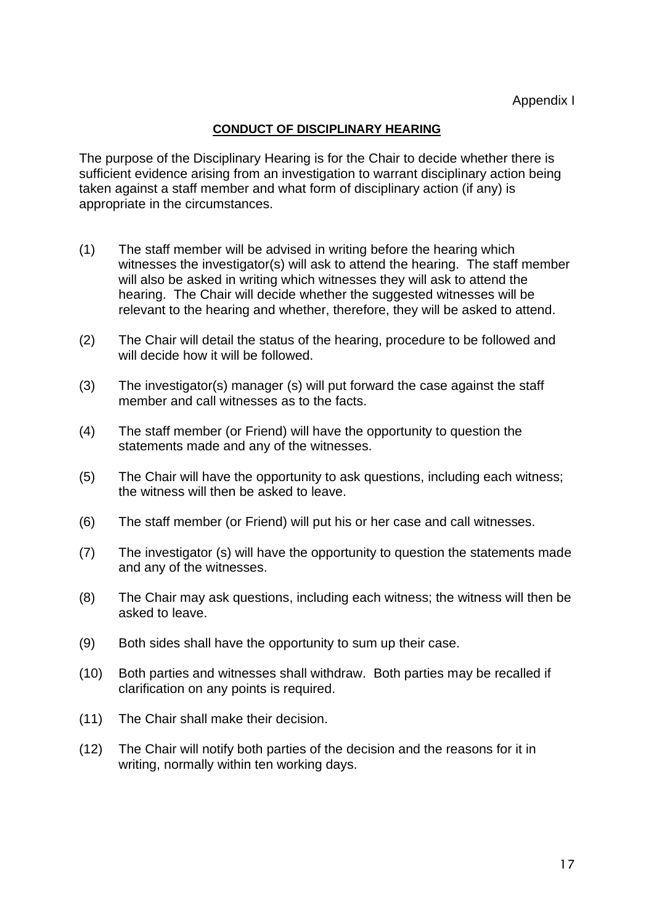## **CONDUCT OF DISCIPLINARY HEARING**

The purpose of the Disciplinary Hearing is for the Chair to decide whether there is sufficient evidence arising from an investigation to warrant disciplinary action being taken against a staff member and what form of disciplinary action (if any) is appropriate in the circumstances.

- (1) The staff member will be advised in writing before the hearing which witnesses the investigator(s) will ask to attend the hearing. The staff member will also be asked in writing which witnesses they will ask to attend the hearing. The Chair will decide whether the suggested witnesses will be relevant to the hearing and whether, therefore, they will be asked to attend.
- (2) The Chair will detail the status of the hearing, procedure to be followed and will decide how it will be followed.
- (3) The investigator(s) manager (s) will put forward the case against the staff member and call witnesses as to the facts.
- (4) The staff member (or Friend) will have the opportunity to question the statements made and any of the witnesses.
- (5) The Chair will have the opportunity to ask questions, including each witness; the witness will then be asked to leave.
- (6) The staff member (or Friend) will put his or her case and call witnesses.
- (7) The investigator (s) will have the opportunity to question the statements made and any of the witnesses.
- (8) The Chair may ask questions, including each witness; the witness will then be asked to leave.
- (9) Both sides shall have the opportunity to sum up their case.
- (10) Both parties and witnesses shall withdraw. Both parties may be recalled if clarification on any points is required.
- (11) The Chair shall make their decision.
- (12) The Chair will notify both parties of the decision and the reasons for it in writing, normally within ten working days.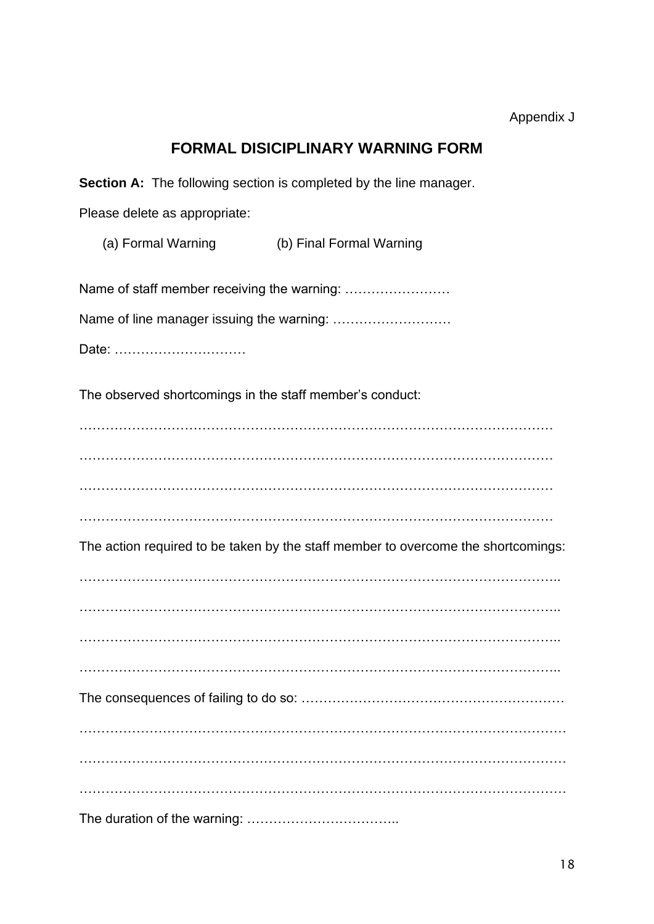## Appendix J

# **FORMAL DISICIPLINARY WARNING FORM**

**Section A:** The following section is completed by the line manager.

Please delete as appropriate:

(a) Formal Warning (b) Final Formal Warning

Name of staff member receiving the warning: ……………………

Name of line manager issuing the warning: ………………………

Date: …………………………

The observed shortcomings in the staff member's conduct:

……………………………………………………………………………………………… ……………………………………………………………………………………………… ……………………………………………………………………………………………… ………………………………………………………………………………………………

The action required to be taken by the staff member to overcome the shortcomings:

……………………………………………………………………………………………….. ……………………………………………………………………………………………….. ……………………………………………………………………………………………….. The consequences of failing to do so: …………………………………………………… ………………………………………………………………………………………………… ………………………………………………………………………………………………… ………………………………………………………………………………………………… The duration of the warning: ……………………………..